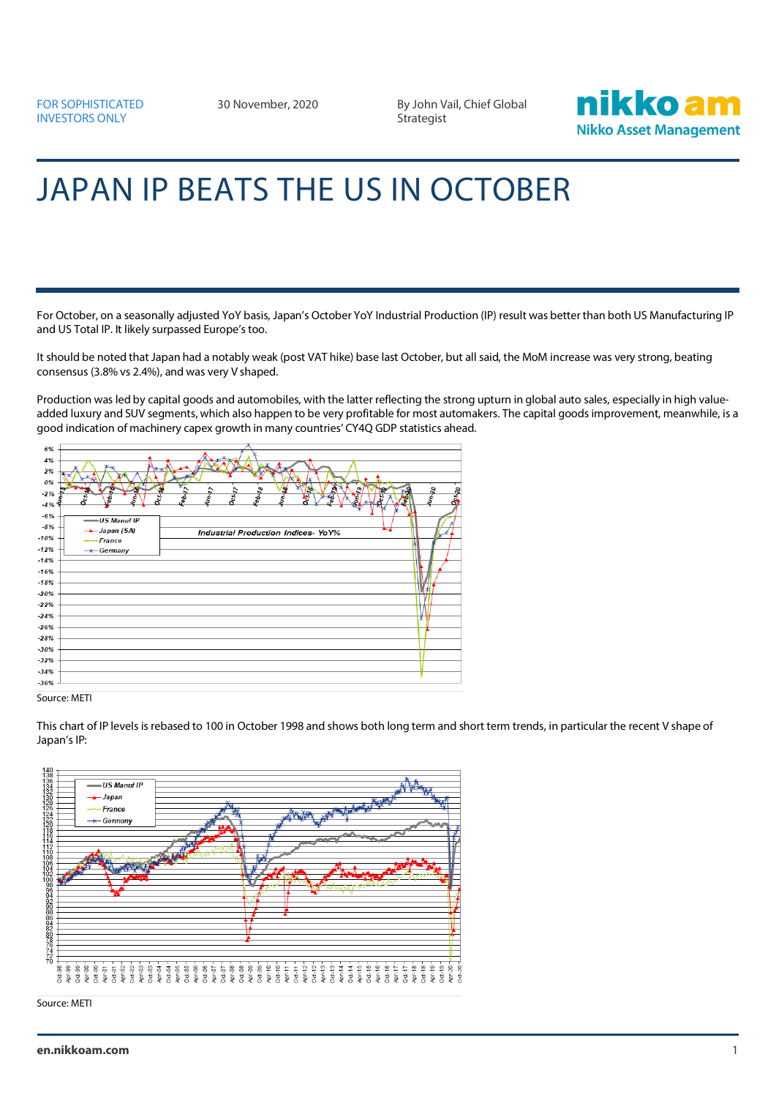30 November, 2020 By John Vail, Chief Global **Strategist** 



## JAPAN IP BEATS THE US IN OCTOBER

For October, on a seasonally adjusted YoY basis, Japan's October YoY Industrial Production (IP) result was better than both US Manufacturing IP and US Total IP. It likely surpassed Europe's too.

It should be noted that Japan had a notably weak (post VAT hike) base last October, but all said, the MoM increase was very strong, beating consensus (3.8% vs 2.4%), and was very V shaped.

Production was led by capital goods and automobiles, with the latter reflecting the strong upturn in global auto sales, especially in high valueadded luxury and SUV segments, which also happen to be very profitable for most automakers. The capital goods improvement, meanwhile, is a good indication of machinery capex growth in many countries' CY4Q GDP statistics ahead.

| 6%     |                                                                  |                                                                                         |
|--------|------------------------------------------------------------------|-----------------------------------------------------------------------------------------|
|        |                                                                  |                                                                                         |
| 4%     |                                                                  |                                                                                         |
| 2%     |                                                                  |                                                                                         |
| $0\%$  |                                                                  |                                                                                         |
| $-2%$  | $\lambda$<br>¥,                                                  | Ŋ<br>$\mathbb{R}$<br>$\tilde{\mathcal{L}}$<br>$\mathcal{S}_{\mathcal{A}}$<br>۵          |
|        | 4n/2<br>$p_{c_{i}i_{j}}$<br><b>Octi</b><br>र<br>રું<br>र्दू<br>Š | $\frac{1}{2}$<br><b>DE</b> ting<br><b>RAD</b><br>Ę<br>$\sigma_{\rm eff}$<br>ξ<br>S<br>Ł |
| $-4%$  |                                                                  |                                                                                         |
| $-6%$  | -US Manuf IP                                                     |                                                                                         |
| $-8%$  | $\rightarrow$ Japan (SA)                                         | ≂                                                                                       |
| $-10%$ |                                                                  | <b>Industrial Production Indices- YoY%</b>                                              |
|        | $-$ France                                                       |                                                                                         |
| $-12%$ | $-x$ Germany                                                     |                                                                                         |
| $-14%$ |                                                                  |                                                                                         |
| $-16%$ |                                                                  |                                                                                         |
| $-18%$ |                                                                  |                                                                                         |
|        |                                                                  |                                                                                         |
| $-20%$ |                                                                  |                                                                                         |
| $-22%$ |                                                                  |                                                                                         |
| $-24%$ |                                                                  | N.                                                                                      |
| $-26%$ |                                                                  |                                                                                         |
| $-28%$ |                                                                  |                                                                                         |
|        |                                                                  |                                                                                         |
| $-30%$ |                                                                  |                                                                                         |
| $-32%$ |                                                                  |                                                                                         |
| $-34%$ |                                                                  |                                                                                         |
| $-36%$ |                                                                  |                                                                                         |
|        |                                                                  |                                                                                         |
|        |                                                                  |                                                                                         |

Source: METI

This chart of IP levels is rebased to 100 in October 1998 and shows both long term and short term trends, in particular the recent V shape of Japan's IP: